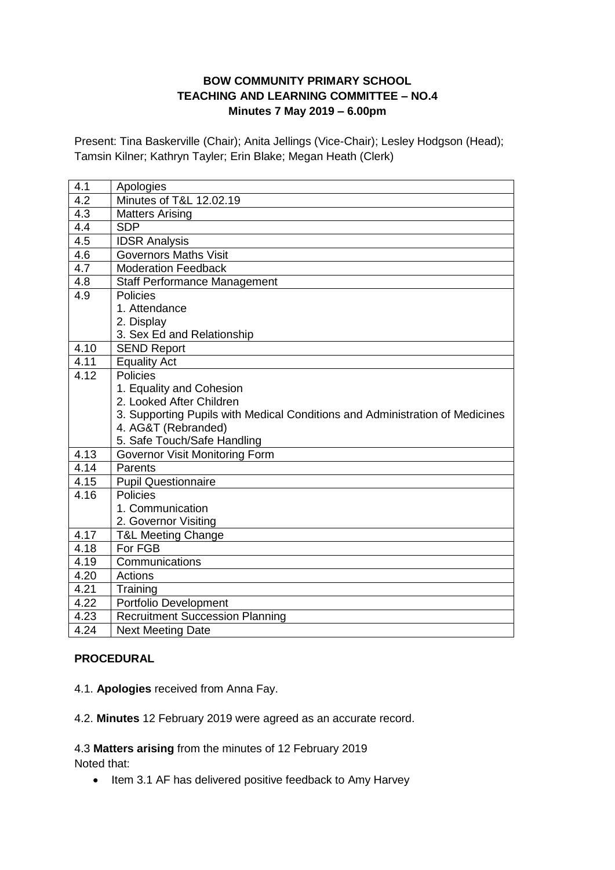### **BOW COMMUNITY PRIMARY SCHOOL TEACHING AND LEARNING COMMITTEE – NO.4 Minutes 7 May 2019 – 6.00pm**

Present: Tina Baskerville (Chair); Anita Jellings (Vice-Chair); Lesley Hodgson (Head); Tamsin Kilner; Kathryn Tayler; Erin Blake; Megan Heath (Clerk)

| 4.1              | Apologies                                                                    |
|------------------|------------------------------------------------------------------------------|
| $\overline{4.2}$ | Minutes of T&L 12,02.19                                                      |
| $4.\overline{3}$ | <b>Matters Arising</b>                                                       |
| 4.4              | <b>SDP</b>                                                                   |
| 4.5              | <b>IDSR Analysis</b>                                                         |
| 4.6              | <b>Governors Maths Visit</b>                                                 |
| $\overline{4.7}$ | <b>Moderation Feedback</b>                                                   |
| 4.8              | <b>Staff Performance Management</b>                                          |
| 4.9              | <b>Policies</b>                                                              |
|                  | 1. Attendance                                                                |
|                  | 2. Display                                                                   |
|                  | 3. Sex Ed and Relationship                                                   |
| 4.10             | <b>SEND Report</b>                                                           |
| 4.11             | <b>Equality Act</b>                                                          |
| 4.12             | <b>Policies</b>                                                              |
|                  | 1. Equality and Cohesion                                                     |
|                  | 2. Looked After Children                                                     |
|                  | 3. Supporting Pupils with Medical Conditions and Administration of Medicines |
|                  | 4. AG&T (Rebranded)                                                          |
|                  | 5. Safe Touch/Safe Handling                                                  |
| 4.13             | <b>Governor Visit Monitoring Form</b>                                        |
| 4.14             | Parents                                                                      |
| 4.15             | <b>Pupil Questionnaire</b>                                                   |
| 4.16             | <b>Policies</b>                                                              |
|                  | 1. Communication                                                             |
|                  | 2. Governor Visiting                                                         |
| 4.17             | <b>T&amp;L Meeting Change</b>                                                |
| 4.18             | For FGB                                                                      |
| 4.19             | Communications                                                               |
| 4.20             | Actions                                                                      |
| 4.21             | Training                                                                     |
| 4.22             | Portfolio Development                                                        |
| 4.23             | <b>Recruitment Succession Planning</b>                                       |
| 4.24             | <b>Next Meeting Date</b>                                                     |

### **PROCEDURAL**

4.1. **Apologies** received from Anna Fay.

4.2. **Minutes** 12 February 2019 were agreed as an accurate record.

#### 4.3 **Matters arising** from the minutes of 12 February 2019 Noted that:

• Item 3.1 AF has delivered positive feedback to Amy Harvey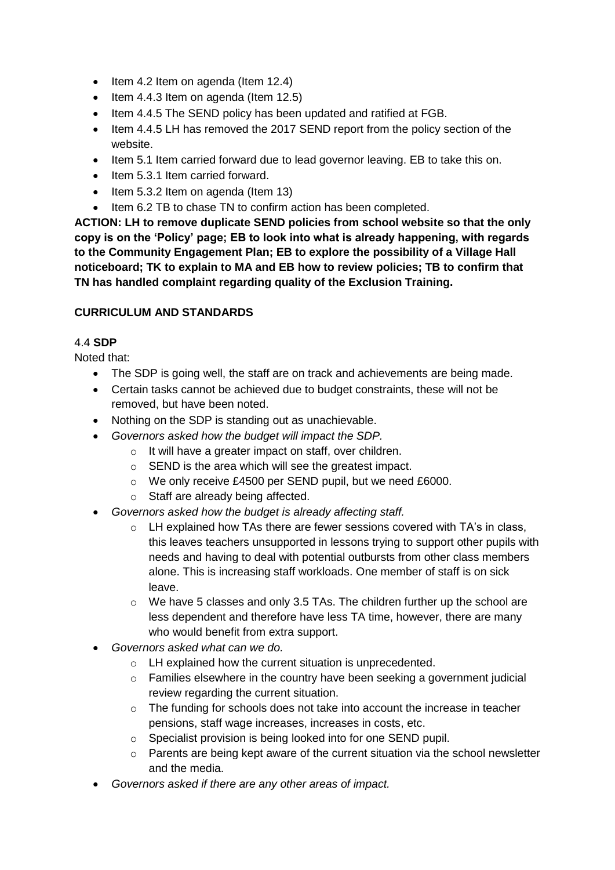- $\bullet$  Item 4.2 Item on agenda (Item 12.4)
- $\bullet$  Item 4.4.3 Item on agenda (Item 12.5)
- Item 4.4.5 The SEND policy has been updated and ratified at FGB.
- Item 4.4.5 LH has removed the 2017 SEND report from the policy section of the website.
- Item 5.1 Item carried forward due to lead governor leaving. EB to take this on.
- Item 5.3.1 Item carried forward.
- $\bullet$  Item 5.3.2 Item on agenda (Item 13)
- Item 6.2 TB to chase TN to confirm action has been completed.

**ACTION: LH to remove duplicate SEND policies from school website so that the only copy is on the 'Policy' page; EB to look into what is already happening, with regards to the Community Engagement Plan; EB to explore the possibility of a Village Hall noticeboard; TK to explain to MA and EB how to review policies; TB to confirm that TN has handled complaint regarding quality of the Exclusion Training.**

### **CURRICULUM AND STANDARDS**

### 4.4 **SDP**

Noted that:

- The SDP is going well, the staff are on track and achievements are being made.
- Certain tasks cannot be achieved due to budget constraints, these will not be removed, but have been noted.
- Nothing on the SDP is standing out as unachievable.
- *Governors asked how the budget will impact the SDP.*
	- o It will have a greater impact on staff, over children.
	- o SEND is the area which will see the greatest impact.
	- o We only receive £4500 per SEND pupil, but we need £6000.
	- o Staff are already being affected.
- *Governors asked how the budget is already affecting staff.*
	- $\circ$  LH explained how TAs there are fewer sessions covered with TA's in class, this leaves teachers unsupported in lessons trying to support other pupils with needs and having to deal with potential outbursts from other class members alone. This is increasing staff workloads. One member of staff is on sick leave.
	- o We have 5 classes and only 3.5 TAs. The children further up the school are less dependent and therefore have less TA time, however, there are many who would benefit from extra support.
- *Governors asked what can we do.*
	- o LH explained how the current situation is unprecedented.
	- $\circ$  Families elsewhere in the country have been seeking a government judicial review regarding the current situation.
	- $\circ$  The funding for schools does not take into account the increase in teacher pensions, staff wage increases, increases in costs, etc.
	- o Specialist provision is being looked into for one SEND pupil.
	- $\circ$  Parents are being kept aware of the current situation via the school newsletter and the media.
- *Governors asked if there are any other areas of impact.*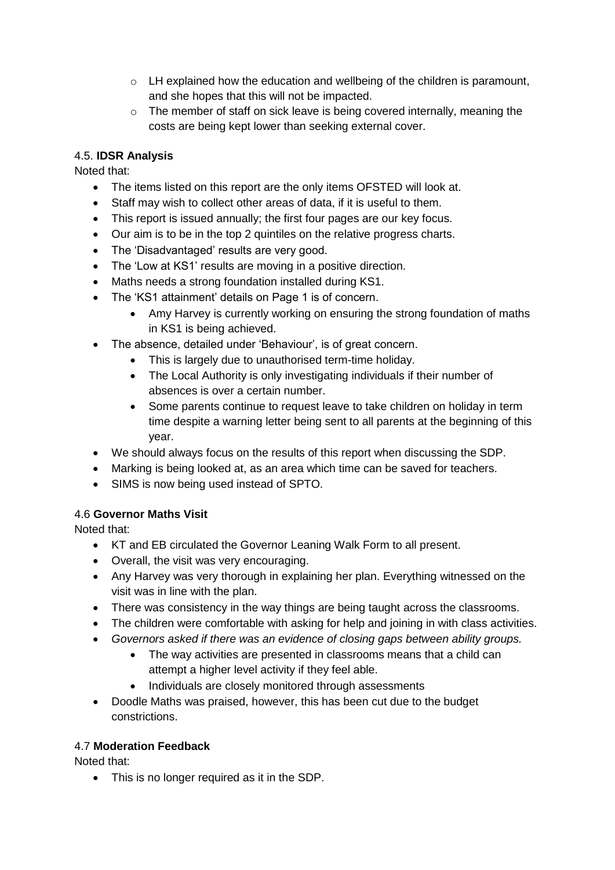- $\circ$  LH explained how the education and wellbeing of the children is paramount, and she hopes that this will not be impacted.
- $\circ$  The member of staff on sick leave is being covered internally, meaning the costs are being kept lower than seeking external cover.

## 4.5. **IDSR Analysis**

Noted that:

- The items listed on this report are the only items OFSTED will look at.
- Staff may wish to collect other areas of data, if it is useful to them.
- This report is issued annually; the first four pages are our key focus.
- Our aim is to be in the top 2 quintiles on the relative progress charts.
- The 'Disadvantaged' results are very good.
- The 'Low at KS1' results are moving in a positive direction.
- Maths needs a strong foundation installed during KS1.
- The 'KS1 attainment' details on Page 1 is of concern.
	- Amy Harvey is currently working on ensuring the strong foundation of maths in KS1 is being achieved.
- The absence, detailed under 'Behaviour', is of great concern.
	- This is largely due to unauthorised term-time holiday.
	- The Local Authority is only investigating individuals if their number of absences is over a certain number.
	- Some parents continue to request leave to take children on holiday in term time despite a warning letter being sent to all parents at the beginning of this year.
- We should always focus on the results of this report when discussing the SDP.
- Marking is being looked at, as an area which time can be saved for teachers.
- SIMS is now being used instead of SPTO.

# 4.6 **Governor Maths Visit**

Noted that:

- KT and EB circulated the Governor Leaning Walk Form to all present.
- Overall, the visit was very encouraging.
- Any Harvey was very thorough in explaining her plan. Everything witnessed on the visit was in line with the plan.
- There was consistency in the way things are being taught across the classrooms.
- The children were comfortable with asking for help and joining in with class activities.
- *Governors asked if there was an evidence of closing gaps between ability groups.*
	- The way activities are presented in classrooms means that a child can attempt a higher level activity if they feel able.
	- Individuals are closely monitored through assessments
- Doodle Maths was praised, however, this has been cut due to the budget constrictions.

### 4.7 **Moderation Feedback**

Noted that:

• This is no longer required as it in the SDP.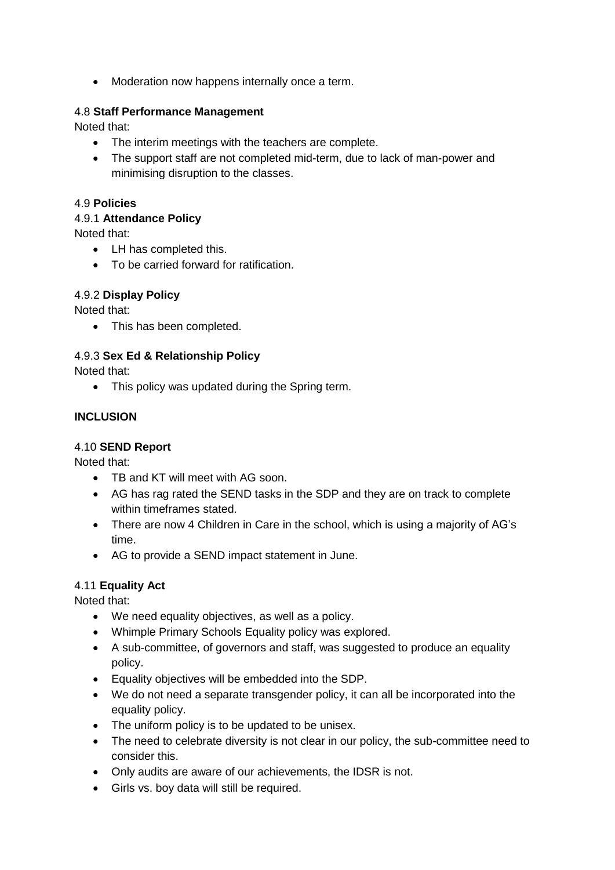• Moderation now happens internally once a term.

#### 4.8 **Staff Performance Management**

Noted that:

- The interim meetings with the teachers are complete.
- The support staff are not completed mid-term, due to lack of man-power and minimising disruption to the classes.

#### 4.9 **Policies**

4.9.1 **Attendance Policy**

Noted that:

- LH has completed this.
- To be carried forward for ratification.

#### 4.9.2 **Display Policy**

Noted that:

• This has been completed.

#### 4.9.3 **Sex Ed & Relationship Policy**

Noted that:

• This policy was updated during the Spring term.

#### **INCLUSION**

#### 4.10 **SEND Report**

Noted that:

- TB and KT will meet with AG soon.
- AG has rag rated the SEND tasks in the SDP and they are on track to complete within timeframes stated.
- There are now 4 Children in Care in the school, which is using a majority of AG's time.
- AG to provide a SEND impact statement in June.

### 4.11 **Equality Act**

Noted that:

- We need equality objectives, as well as a policy.
- Whimple Primary Schools Equality policy was explored.
- A sub-committee, of governors and staff, was suggested to produce an equality policy.
- Equality objectives will be embedded into the SDP.
- We do not need a separate transgender policy, it can all be incorporated into the equality policy.
- The uniform policy is to be updated to be unisex.
- The need to celebrate diversity is not clear in our policy, the sub-committee need to consider this.
- Only audits are aware of our achievements, the IDSR is not.
- Girls vs. boy data will still be required.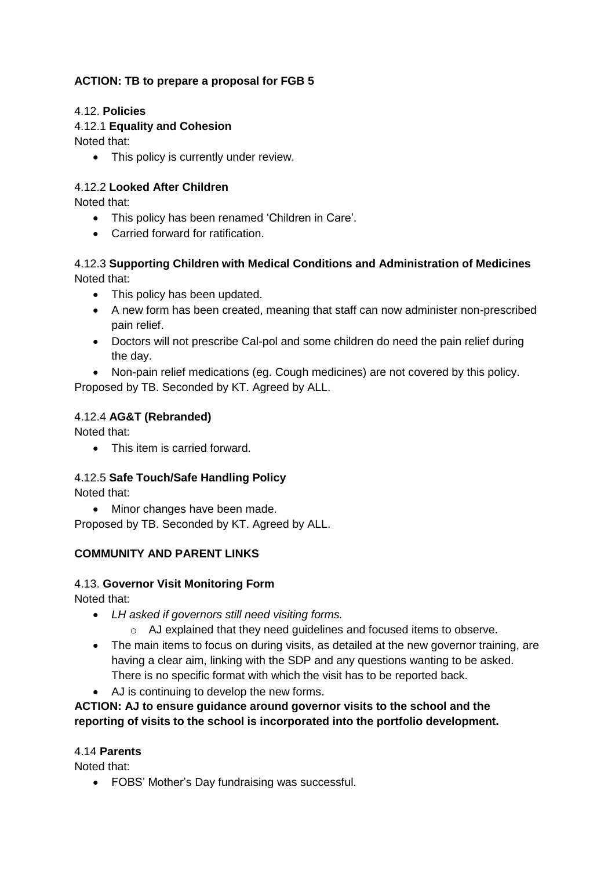# **ACTION: TB to prepare a proposal for FGB 5**

### 4.12. **Policies**

### 4.12.1 **Equality and Cohesion**

Noted that:

• This policy is currently under review.

### 4.12.2 **Looked After Children**

Noted that:

- This policy has been renamed 'Children in Care'.
- Carried forward for ratification.

## 4.12.3 **Supporting Children with Medical Conditions and Administration of Medicines** Noted that:

- This policy has been updated.
- A new form has been created, meaning that staff can now administer non-prescribed pain relief.
- Doctors will not prescribe Cal-pol and some children do need the pain relief during the day.
- Non-pain relief medications (eg. Cough medicines) are not covered by this policy.

Proposed by TB. Seconded by KT. Agreed by ALL.

### 4.12.4 **AG&T (Rebranded)**

Noted that:

• This item is carried forward.

# 4.12.5 **Safe Touch/Safe Handling Policy**

Noted that:

• Minor changes have been made.

Proposed by TB. Seconded by KT. Agreed by ALL.

# **COMMUNITY AND PARENT LINKS**

### 4.13. **Governor Visit Monitoring Form**

Noted that:

- *LH asked if governors still need visiting forms.*
	- o AJ explained that they need guidelines and focused items to observe.
- The main items to focus on during visits, as detailed at the new governor training, are having a clear aim, linking with the SDP and any questions wanting to be asked. There is no specific format with which the visit has to be reported back.
- AJ is continuing to develop the new forms.

### **ACTION: AJ to ensure guidance around governor visits to the school and the reporting of visits to the school is incorporated into the portfolio development.**

### 4.14 **Parents**

Noted that:

FOBS' Mother's Day fundraising was successful.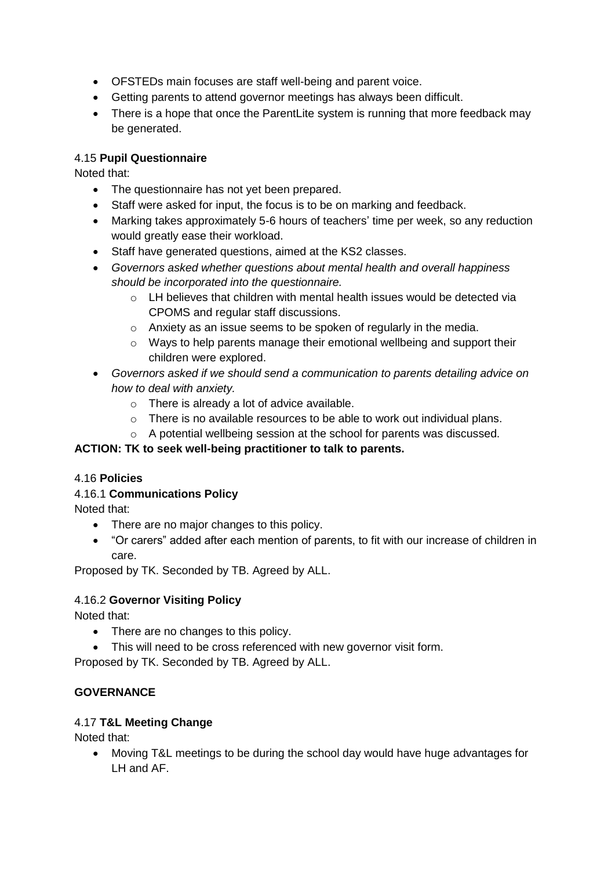- OFSTEDs main focuses are staff well-being and parent voice.
- Getting parents to attend governor meetings has always been difficult.
- There is a hope that once the ParentLite system is running that more feedback may be generated.

### 4.15 **Pupil Questionnaire**

Noted that:

- The questionnaire has not yet been prepared.
- Staff were asked for input, the focus is to be on marking and feedback.
- Marking takes approximately 5-6 hours of teachers' time per week, so any reduction would greatly ease their workload.
- Staff have generated questions, aimed at the KS2 classes.
- *Governors asked whether questions about mental health and overall happiness should be incorporated into the questionnaire.*
	- o LH believes that children with mental health issues would be detected via CPOMS and regular staff discussions.
	- o Anxiety as an issue seems to be spoken of regularly in the media.
	- o Ways to help parents manage their emotional wellbeing and support their children were explored.
- *Governors asked if we should send a communication to parents detailing advice on how to deal with anxiety.*
	- o There is already a lot of advice available.
	- o There is no available resources to be able to work out individual plans.
	- o A potential wellbeing session at the school for parents was discussed.

### **ACTION: TK to seek well-being practitioner to talk to parents.**

### 4.16 **Policies**

### 4.16.1 **Communications Policy**

Noted that:

- There are no major changes to this policy.
- "Or carers" added after each mention of parents, to fit with our increase of children in care.

Proposed by TK. Seconded by TB. Agreed by ALL.

### 4.16.2 **Governor Visiting Policy**

Noted that:

- There are no changes to this policy.
- This will need to be cross referenced with new governor visit form.

Proposed by TK. Seconded by TB. Agreed by ALL.

### **GOVERNANCE**

### 4.17 **T&L Meeting Change**

Noted that:

 Moving T&L meetings to be during the school day would have huge advantages for LH and AF.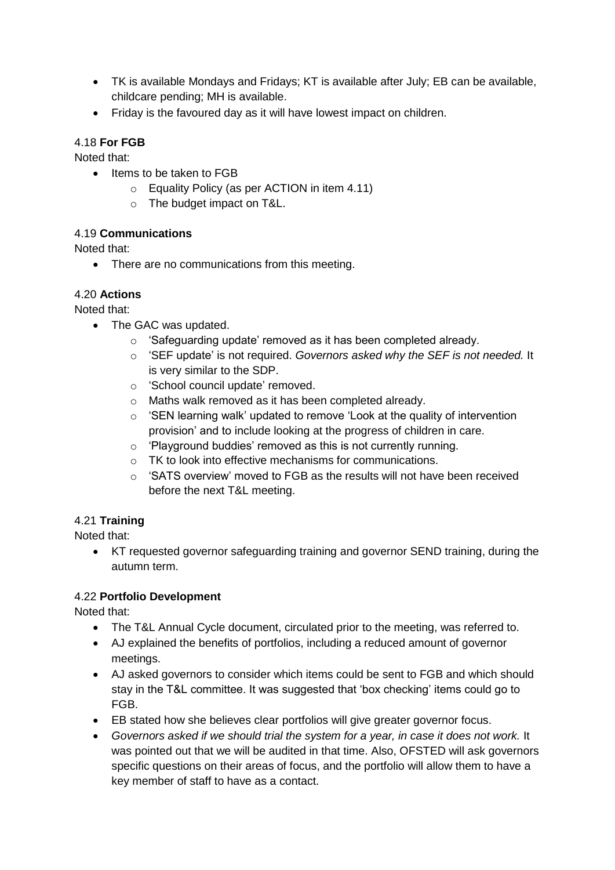- TK is available Mondays and Fridays; KT is available after July; EB can be available, childcare pending; MH is available.
- Friday is the favoured day as it will have lowest impact on children.

### 4.18 **For FGB**

Noted that:

- Items to be taken to FGB
	- o Equality Policy (as per ACTION in item 4.11)
	- o The budget impact on T&L.

### 4.19 **Communications**

Noted that:

• There are no communications from this meeting.

### 4.20 **Actions**

Noted that:

- The GAC was updated.
	- o 'Safeguarding update' removed as it has been completed already.
	- o 'SEF update' is not required. *Governors asked why the SEF is not needed.* It is very similar to the SDP.
	- o 'School council update' removed.
	- o Maths walk removed as it has been completed already.
	- o 'SEN learning walk' updated to remove 'Look at the quality of intervention provision' and to include looking at the progress of children in care.
	- o 'Playground buddies' removed as this is not currently running.
	- o TK to look into effective mechanisms for communications.
	- $\circ$  'SATS overview' moved to FGB as the results will not have been received before the next T&L meeting.

# 4.21 **Training**

Noted that:

 KT requested governor safeguarding training and governor SEND training, during the autumn term.

### 4.22 **Portfolio Development**

Noted that:

- The T&L Annual Cycle document, circulated prior to the meeting, was referred to.
- AJ explained the benefits of portfolios, including a reduced amount of governor meetings.
- AJ asked governors to consider which items could be sent to FGB and which should stay in the T&L committee. It was suggested that 'box checking' items could go to FGB.
- EB stated how she believes clear portfolios will give greater governor focus.
- *Governors asked if we should trial the system for a year, in case it does not work.* It was pointed out that we will be audited in that time. Also, OFSTED will ask governors specific questions on their areas of focus, and the portfolio will allow them to have a key member of staff to have as a contact.